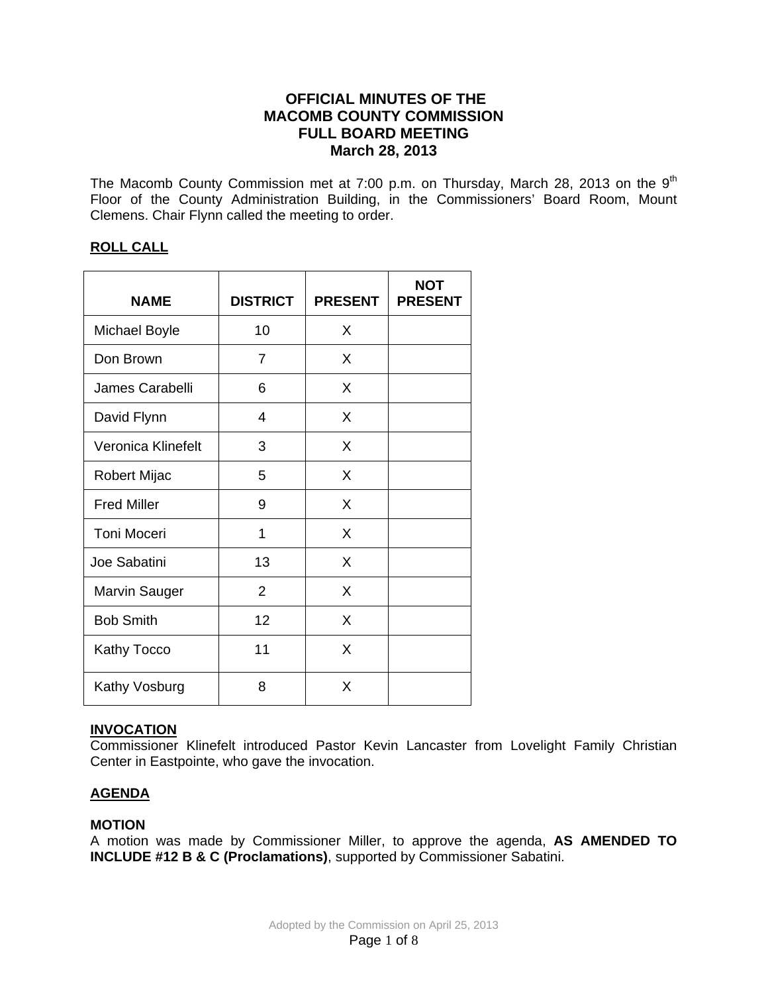# **OFFICIAL MINUTES OF THE MACOMB COUNTY COMMISSION FULL BOARD MEETING March 28, 2013**

The Macomb County Commission met at 7:00 p.m. on Thursday, March 28, 2013 on the  $9<sup>th</sup>$ Floor of the County Administration Building, in the Commissioners' Board Room, Mount Clemens. Chair Flynn called the meeting to order.

## **ROLL CALL**

| <b>NAME</b>          | <b>DISTRICT</b> | <b>PRESENT</b> | <b>NOT</b><br><b>PRESENT</b> |
|----------------------|-----------------|----------------|------------------------------|
| <b>Michael Boyle</b> | 10              | X              |                              |
| Don Brown            | 7               | X              |                              |
| James Carabelli      | 6               | X              |                              |
| David Flynn          | 4               | X              |                              |
| Veronica Klinefelt   | 3               | X              |                              |
| Robert Mijac         | 5               | X              |                              |
| <b>Fred Miller</b>   | 9               | X              |                              |
| Toni Moceri          | 1               | X              |                              |
| Joe Sabatini         | 13              | X              |                              |
| <b>Marvin Sauger</b> | $\overline{2}$  | X              |                              |
| <b>Bob Smith</b>     | 12              | X              |                              |
| <b>Kathy Tocco</b>   | 11              | X              |                              |
| Kathy Vosburg        | 8               | X              |                              |

## **INVOCATION**

Commissioner Klinefelt introduced Pastor Kevin Lancaster from Lovelight Family Christian Center in Eastpointe, who gave the invocation.

## **AGENDA**

## **MOTION**

A motion was made by Commissioner Miller, to approve the agenda, **AS AMENDED TO INCLUDE #12 B & C (Proclamations)**, supported by Commissioner Sabatini.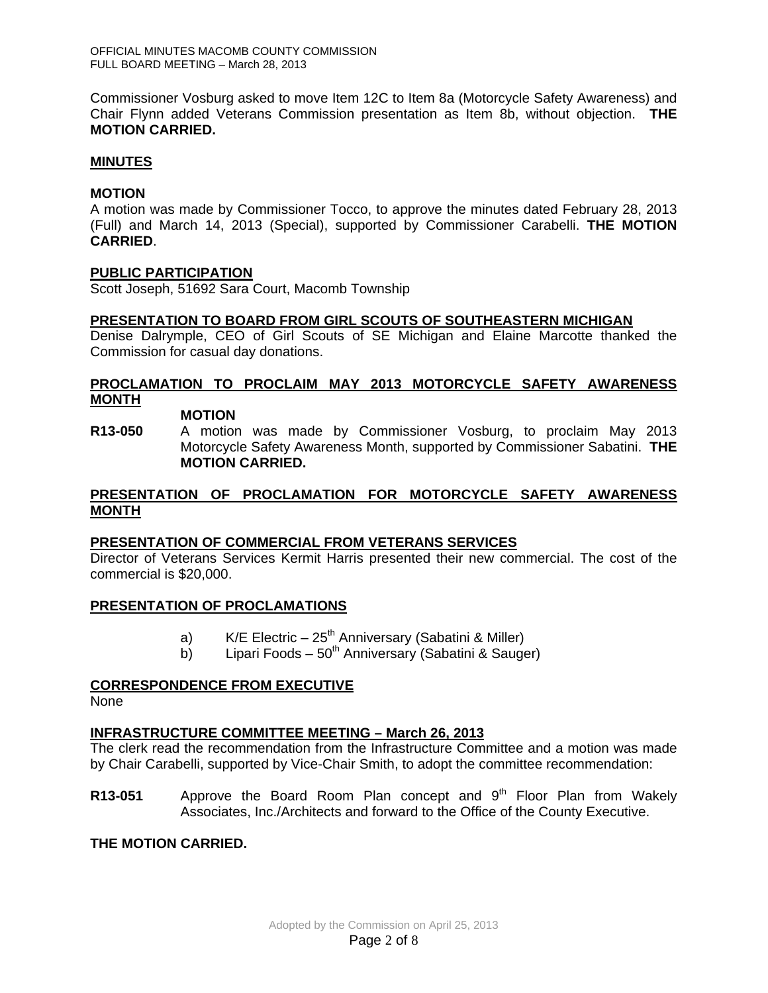Commissioner Vosburg asked to move Item 12C to Item 8a (Motorcycle Safety Awareness) and Chair Flynn added Veterans Commission presentation as Item 8b, without objection. **THE MOTION CARRIED.** 

#### **MINUTES**

#### **MOTION**

A motion was made by Commissioner Tocco, to approve the minutes dated February 28, 2013 (Full) and March 14, 2013 (Special), supported by Commissioner Carabelli. **THE MOTION CARRIED**.

#### **PUBLIC PARTICIPATION**

Scott Joseph, 51692 Sara Court, Macomb Township

#### **PRESENTATION TO BOARD FROM GIRL SCOUTS OF SOUTHEASTERN MICHIGAN**

Denise Dalrymple, CEO of Girl Scouts of SE Michigan and Elaine Marcotte thanked the Commission for casual day donations.

## **PROCLAMATION TO PROCLAIM MAY 2013 MOTORCYCLE SAFETY AWARENESS MONTH**

# **MOTION**

**R13-050** A motion was made by Commissioner Vosburg, to proclaim May 2013 Motorcycle Safety Awareness Month, supported by Commissioner Sabatini. **THE MOTION CARRIED.** 

## **PRESENTATION OF PROCLAMATION FOR MOTORCYCLE SAFETY AWARENESS MONTH**

## **PRESENTATION OF COMMERCIAL FROM VETERANS SERVICES**

Director of Veterans Services Kermit Harris presented their new commercial. The cost of the commercial is \$20,000.

## **PRESENTATION OF PROCLAMATIONS**

- a) K/E Electric  $25<sup>th</sup>$  Anniversary (Sabatini & Miller)
- b) Lipari Foods  $50<sup>th</sup>$  Anniversary (Sabatini & Sauger)

## **CORRESPONDENCE FROM EXECUTIVE**

None

## **INFRASTRUCTURE COMMITTEE MEETING – March 26, 2013**

The clerk read the recommendation from the Infrastructure Committee and a motion was made by Chair Carabelli, supported by Vice-Chair Smith, to adopt the committee recommendation:

**R13-051** Approve the Board Room Plan concept and 9<sup>th</sup> Floor Plan from Wakely Associates, Inc./Architects and forward to the Office of the County Executive.

## **THE MOTION CARRIED.**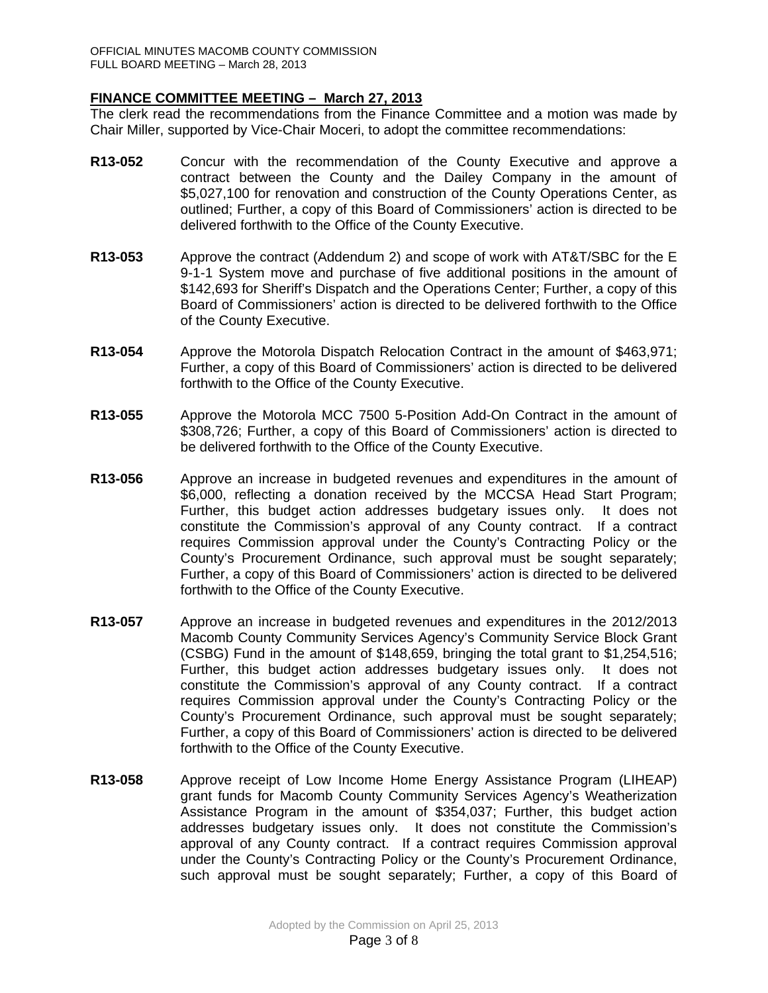## **FINANCE COMMITTEE MEETING – March 27, 2013**

The clerk read the recommendations from the Finance Committee and a motion was made by Chair Miller, supported by Vice-Chair Moceri, to adopt the committee recommendations:

- **R13-052** Concur with the recommendation of the County Executive and approve a contract between the County and the Dailey Company in the amount of \$5,027,100 for renovation and construction of the County Operations Center, as outlined; Further, a copy of this Board of Commissioners' action is directed to be delivered forthwith to the Office of the County Executive.
- **R13-053** Approve the contract (Addendum 2) and scope of work with AT&T/SBC for the E 9-1-1 System move and purchase of five additional positions in the amount of \$142,693 for Sheriff's Dispatch and the Operations Center; Further, a copy of this Board of Commissioners' action is directed to be delivered forthwith to the Office of the County Executive.
- **R13-054** Approve the Motorola Dispatch Relocation Contract in the amount of \$463,971; Further, a copy of this Board of Commissioners' action is directed to be delivered forthwith to the Office of the County Executive.
- **R13-055** Approve the Motorola MCC 7500 5-Position Add-On Contract in the amount of \$308,726; Further, a copy of this Board of Commissioners' action is directed to be delivered forthwith to the Office of the County Executive.
- **R13-056** Approve an increase in budgeted revenues and expenditures in the amount of \$6,000, reflecting a donation received by the MCCSA Head Start Program; Further, this budget action addresses budgetary issues only. It does not constitute the Commission's approval of any County contract. If a contract requires Commission approval under the County's Contracting Policy or the County's Procurement Ordinance, such approval must be sought separately; Further, a copy of this Board of Commissioners' action is directed to be delivered forthwith to the Office of the County Executive.
- **R13-057** Approve an increase in budgeted revenues and expenditures in the 2012/2013 Macomb County Community Services Agency's Community Service Block Grant (CSBG) Fund in the amount of \$148,659, bringing the total grant to \$1,254,516; Further, this budget action addresses budgetary issues only. It does not constitute the Commission's approval of any County contract. If a contract requires Commission approval under the County's Contracting Policy or the County's Procurement Ordinance, such approval must be sought separately; Further, a copy of this Board of Commissioners' action is directed to be delivered forthwith to the Office of the County Executive.
- **R13-058** Approve receipt of Low Income Home Energy Assistance Program (LIHEAP) grant funds for Macomb County Community Services Agency's Weatherization Assistance Program in the amount of \$354,037; Further, this budget action addresses budgetary issues only. It does not constitute the Commission's approval of any County contract. If a contract requires Commission approval under the County's Contracting Policy or the County's Procurement Ordinance, such approval must be sought separately; Further, a copy of this Board of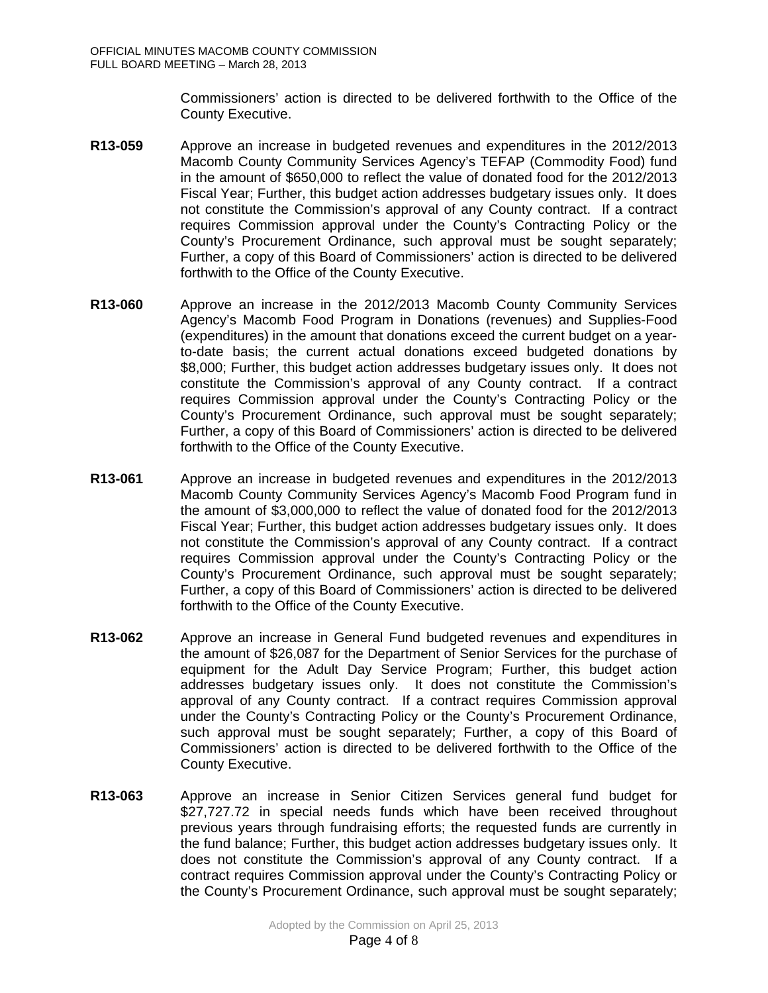Commissioners' action is directed to be delivered forthwith to the Office of the County Executive.

- **R13-059** Approve an increase in budgeted revenues and expenditures in the 2012/2013 Macomb County Community Services Agency's TEFAP (Commodity Food) fund in the amount of \$650,000 to reflect the value of donated food for the 2012/2013 Fiscal Year; Further, this budget action addresses budgetary issues only. It does not constitute the Commission's approval of any County contract. If a contract requires Commission approval under the County's Contracting Policy or the County's Procurement Ordinance, such approval must be sought separately; Further, a copy of this Board of Commissioners' action is directed to be delivered forthwith to the Office of the County Executive.
- **R13-060** Approve an increase in the 2012/2013 Macomb County Community Services Agency's Macomb Food Program in Donations (revenues) and Supplies-Food (expenditures) in the amount that donations exceed the current budget on a yearto-date basis; the current actual donations exceed budgeted donations by \$8,000; Further, this budget action addresses budgetary issues only. It does not constitute the Commission's approval of any County contract. If a contract requires Commission approval under the County's Contracting Policy or the County's Procurement Ordinance, such approval must be sought separately; Further, a copy of this Board of Commissioners' action is directed to be delivered forthwith to the Office of the County Executive.
- **R13-061** Approve an increase in budgeted revenues and expenditures in the 2012/2013 Macomb County Community Services Agency's Macomb Food Program fund in the amount of \$3,000,000 to reflect the value of donated food for the 2012/2013 Fiscal Year; Further, this budget action addresses budgetary issues only. It does not constitute the Commission's approval of any County contract. If a contract requires Commission approval under the County's Contracting Policy or the County's Procurement Ordinance, such approval must be sought separately; Further, a copy of this Board of Commissioners' action is directed to be delivered forthwith to the Office of the County Executive.
- **R13-062** Approve an increase in General Fund budgeted revenues and expenditures in the amount of \$26,087 for the Department of Senior Services for the purchase of equipment for the Adult Day Service Program; Further, this budget action addresses budgetary issues only. It does not constitute the Commission's approval of any County contract. If a contract requires Commission approval under the County's Contracting Policy or the County's Procurement Ordinance, such approval must be sought separately; Further, a copy of this Board of Commissioners' action is directed to be delivered forthwith to the Office of the County Executive.
- **R13-063** Approve an increase in Senior Citizen Services general fund budget for \$27,727.72 in special needs funds which have been received throughout previous years through fundraising efforts; the requested funds are currently in the fund balance; Further, this budget action addresses budgetary issues only. It does not constitute the Commission's approval of any County contract. If a contract requires Commission approval under the County's Contracting Policy or the County's Procurement Ordinance, such approval must be sought separately;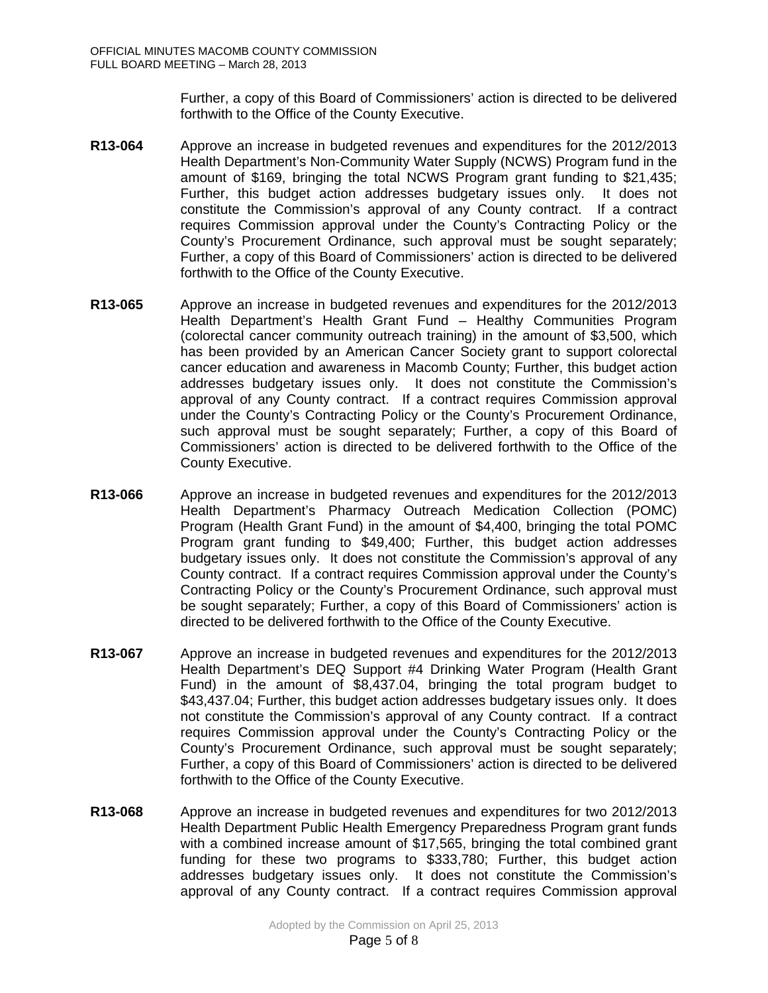Further, a copy of this Board of Commissioners' action is directed to be delivered forthwith to the Office of the County Executive.

- **R13-064** Approve an increase in budgeted revenues and expenditures for the 2012/2013 Health Department's Non-Community Water Supply (NCWS) Program fund in the amount of \$169, bringing the total NCWS Program grant funding to \$21,435; Further, this budget action addresses budgetary issues only. It does not constitute the Commission's approval of any County contract. If a contract requires Commission approval under the County's Contracting Policy or the County's Procurement Ordinance, such approval must be sought separately; Further, a copy of this Board of Commissioners' action is directed to be delivered forthwith to the Office of the County Executive.
- **R13-065** Approve an increase in budgeted revenues and expenditures for the 2012/2013 Health Department's Health Grant Fund – Healthy Communities Program (colorectal cancer community outreach training) in the amount of \$3,500, which has been provided by an American Cancer Society grant to support colorectal cancer education and awareness in Macomb County; Further, this budget action addresses budgetary issues only. It does not constitute the Commission's approval of any County contract. If a contract requires Commission approval under the County's Contracting Policy or the County's Procurement Ordinance, such approval must be sought separately; Further, a copy of this Board of Commissioners' action is directed to be delivered forthwith to the Office of the County Executive.
- **R13-066** Approve an increase in budgeted revenues and expenditures for the 2012/2013 Health Department's Pharmacy Outreach Medication Collection (POMC) Program (Health Grant Fund) in the amount of \$4,400, bringing the total POMC Program grant funding to \$49,400; Further, this budget action addresses budgetary issues only. It does not constitute the Commission's approval of any County contract. If a contract requires Commission approval under the County's Contracting Policy or the County's Procurement Ordinance, such approval must be sought separately; Further, a copy of this Board of Commissioners' action is directed to be delivered forthwith to the Office of the County Executive.
- **R13-067** Approve an increase in budgeted revenues and expenditures for the 2012/2013 Health Department's DEQ Support #4 Drinking Water Program (Health Grant Fund) in the amount of \$8,437.04, bringing the total program budget to \$43,437.04; Further, this budget action addresses budgetary issues only. It does not constitute the Commission's approval of any County contract. If a contract requires Commission approval under the County's Contracting Policy or the County's Procurement Ordinance, such approval must be sought separately; Further, a copy of this Board of Commissioners' action is directed to be delivered forthwith to the Office of the County Executive.
- **R13-068** Approve an increase in budgeted revenues and expenditures for two 2012/2013 Health Department Public Health Emergency Preparedness Program grant funds with a combined increase amount of \$17,565, bringing the total combined grant funding for these two programs to \$333,780; Further, this budget action addresses budgetary issues only. It does not constitute the Commission's approval of any County contract. If a contract requires Commission approval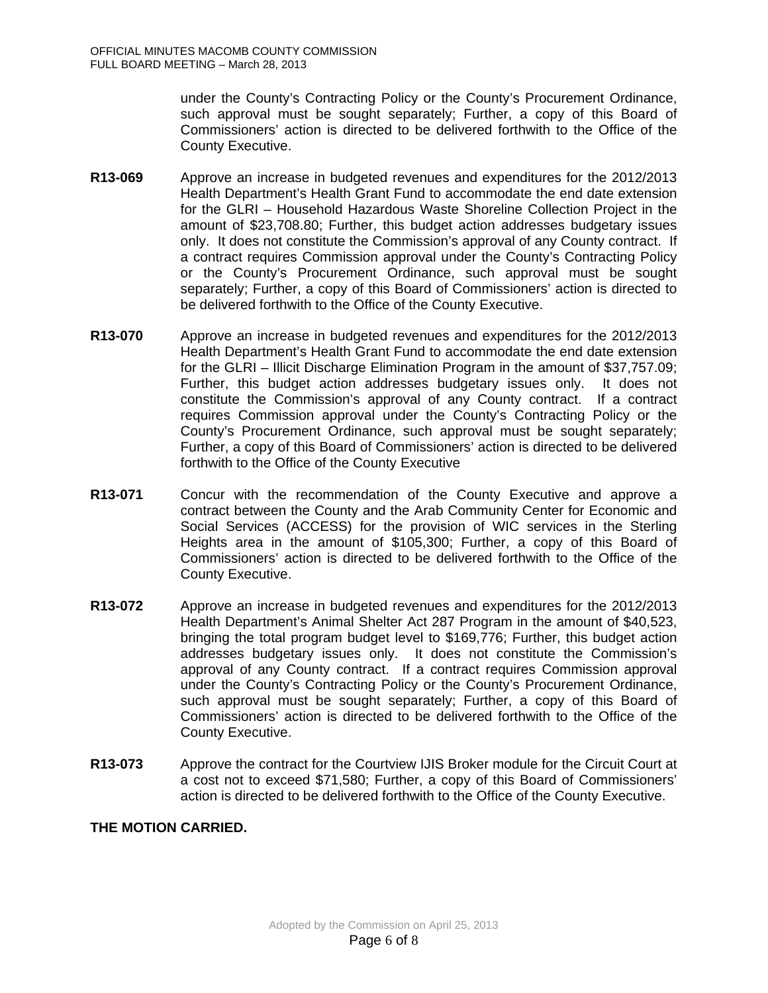under the County's Contracting Policy or the County's Procurement Ordinance, such approval must be sought separately; Further, a copy of this Board of Commissioners' action is directed to be delivered forthwith to the Office of the County Executive.

- **R13-069** Approve an increase in budgeted revenues and expenditures for the 2012/2013 Health Department's Health Grant Fund to accommodate the end date extension for the GLRI – Household Hazardous Waste Shoreline Collection Project in the amount of \$23,708.80; Further, this budget action addresses budgetary issues only. It does not constitute the Commission's approval of any County contract. If a contract requires Commission approval under the County's Contracting Policy or the County's Procurement Ordinance, such approval must be sought separately; Further, a copy of this Board of Commissioners' action is directed to be delivered forthwith to the Office of the County Executive.
- **R13-070** Approve an increase in budgeted revenues and expenditures for the 2012/2013 Health Department's Health Grant Fund to accommodate the end date extension for the GLRI – Illicit Discharge Elimination Program in the amount of \$37,757.09; Further, this budget action addresses budgetary issues only. It does not constitute the Commission's approval of any County contract. If a contract requires Commission approval under the County's Contracting Policy or the County's Procurement Ordinance, such approval must be sought separately; Further, a copy of this Board of Commissioners' action is directed to be delivered forthwith to the Office of the County Executive
- **R13-071** Concur with the recommendation of the County Executive and approve a contract between the County and the Arab Community Center for Economic and Social Services (ACCESS) for the provision of WIC services in the Sterling Heights area in the amount of \$105,300; Further, a copy of this Board of Commissioners' action is directed to be delivered forthwith to the Office of the County Executive.
- **R13-072** Approve an increase in budgeted revenues and expenditures for the 2012/2013 Health Department's Animal Shelter Act 287 Program in the amount of \$40,523, bringing the total program budget level to \$169,776; Further, this budget action addresses budgetary issues only. It does not constitute the Commission's approval of any County contract. If a contract requires Commission approval under the County's Contracting Policy or the County's Procurement Ordinance, such approval must be sought separately; Further, a copy of this Board of Commissioners' action is directed to be delivered forthwith to the Office of the County Executive.
- **R13-073** Approve the contract for the Courtview IJIS Broker module for the Circuit Court at a cost not to exceed \$71,580; Further, a copy of this Board of Commissioners' action is directed to be delivered forthwith to the Office of the County Executive.

## **THE MOTION CARRIED.**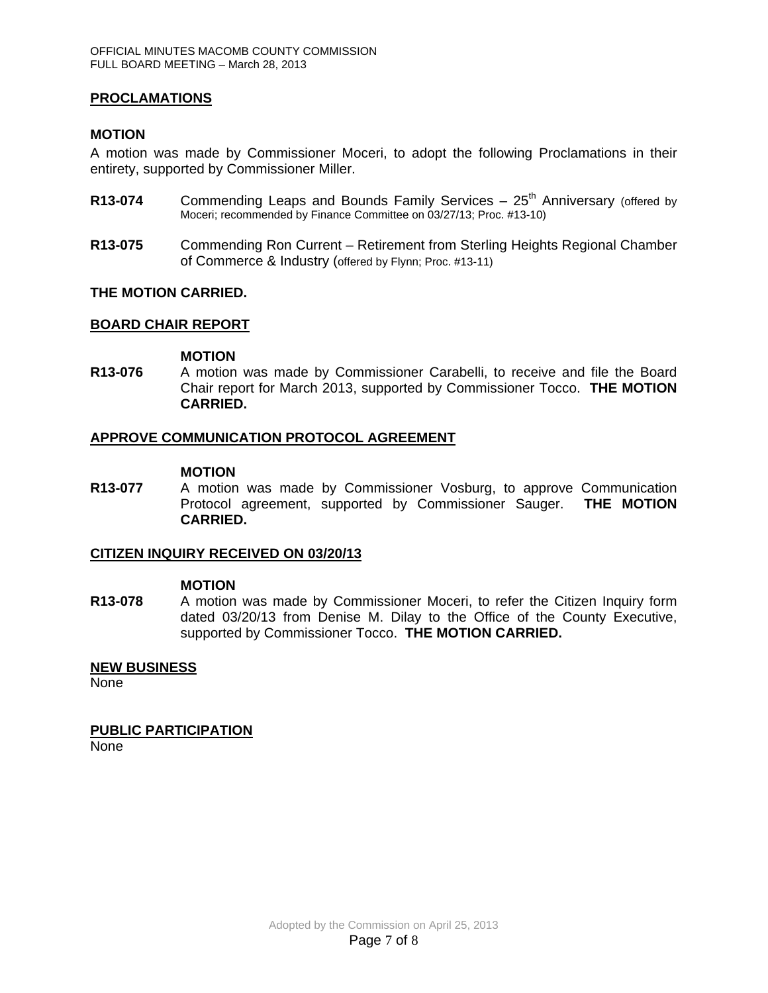#### **PROCLAMATIONS**

#### **MOTION**

A motion was made by Commissioner Moceri, to adopt the following Proclamations in their entirety, supported by Commissioner Miller.

- **R13-074** Commending Leaps and Bounds Family Services 25<sup>th</sup> Anniversary (offered by Moceri; recommended by Finance Committee on 03/27/13; Proc. #13-10)
- **R13-075** Commending Ron Current Retirement from Sterling Heights Regional Chamber of Commerce & Industry (offered by Flynn; Proc. #13-11)

#### **THE MOTION CARRIED.**

#### **BOARD CHAIR REPORT**

#### **MOTION**

**R13-076** A motion was made by Commissioner Carabelli, to receive and file the Board Chair report for March 2013, supported by Commissioner Tocco. **THE MOTION CARRIED.** 

#### **APPROVE COMMUNICATION PROTOCOL AGREEMENT**

#### **MOTION**

**R13-077** A motion was made by Commissioner Vosburg, to approve Communication Protocol agreement, supported by Commissioner Sauger. **THE MOTION CARRIED.** 

#### **CITIZEN INQUIRY RECEIVED ON 03/20/13**

#### **MOTION**

**R13-078** A motion was made by Commissioner Moceri, to refer the Citizen Inquiry form dated 03/20/13 from Denise M. Dilay to the Office of the County Executive, supported by Commissioner Tocco. **THE MOTION CARRIED.** 

#### **NEW BUSINESS**

None

#### **PUBLIC PARTICIPATION**

None